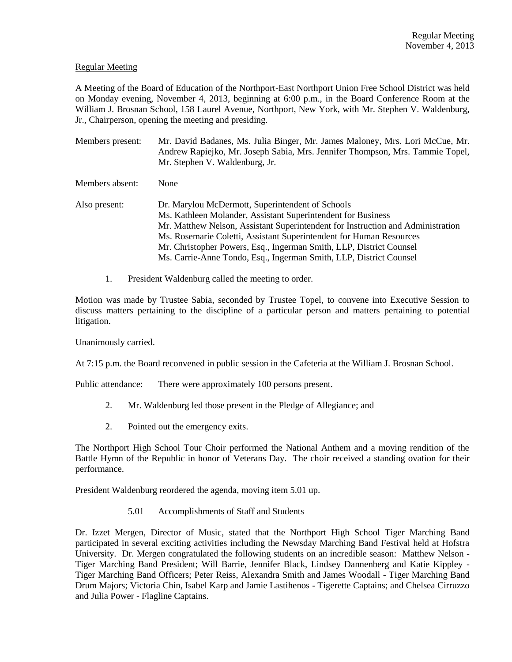# Regular Meeting

A Meeting of the Board of Education of the Northport-East Northport Union Free School District was held on Monday evening, November 4, 2013, beginning at 6:00 p.m., in the Board Conference Room at the William J. Brosnan School, 158 Laurel Avenue, Northport, New York, with Mr. Stephen V. Waldenburg, Jr., Chairperson, opening the meeting and presiding.

Members present: Mr. David Badanes, Ms. Julia Binger, Mr. James Maloney, Mrs. Lori McCue, Mr. Andrew Rapiejko, Mr. Joseph Sabia, Mrs. Jennifer Thompson, Mrs. Tammie Topel, Mr. Stephen V. Waldenburg, Jr.

Members absent: None

- Also present: Dr. Marylou McDermott, Superintendent of Schools Ms. Kathleen Molander, Assistant Superintendent for Business Mr. Matthew Nelson, Assistant Superintendent for Instruction and Administration Ms. Rosemarie Coletti, Assistant Superintendent for Human Resources Mr. Christopher Powers, Esq., Ingerman Smith, LLP, District Counsel Ms. Carrie-Anne Tondo, Esq., Ingerman Smith, LLP, District Counsel
	- 1. President Waldenburg called the meeting to order.

Motion was made by Trustee Sabia, seconded by Trustee Topel, to convene into Executive Session to discuss matters pertaining to the discipline of a particular person and matters pertaining to potential litigation.

Unanimously carried.

At 7:15 p.m. the Board reconvened in public session in the Cafeteria at the William J. Brosnan School.

Public attendance: There were approximately 100 persons present.

- 2. Mr. Waldenburg led those present in the Pledge of Allegiance; and
- 2. Pointed out the emergency exits.

The Northport High School Tour Choir performed the National Anthem and a moving rendition of the Battle Hymn of the Republic in honor of Veterans Day. The choir received a standing ovation for their performance.

President Waldenburg reordered the agenda, moving item 5.01 up.

5.01 Accomplishments of Staff and Students

Dr. Izzet Mergen, Director of Music, stated that the Northport High School Tiger Marching Band participated in several exciting activities including the Newsday Marching Band Festival held at Hofstra University. Dr. Mergen congratulated the following students on an incredible season: Matthew Nelson - Tiger Marching Band President; Will Barrie, Jennifer Black, Lindsey Dannenberg and Katie Kippley - Tiger Marching Band Officers; Peter Reiss, Alexandra Smith and James Woodall - Tiger Marching Band Drum Majors; Victoria Chin, Isabel Karp and Jamie Lastihenos - Tigerette Captains; and Chelsea Cirruzzo and Julia Power - Flagline Captains.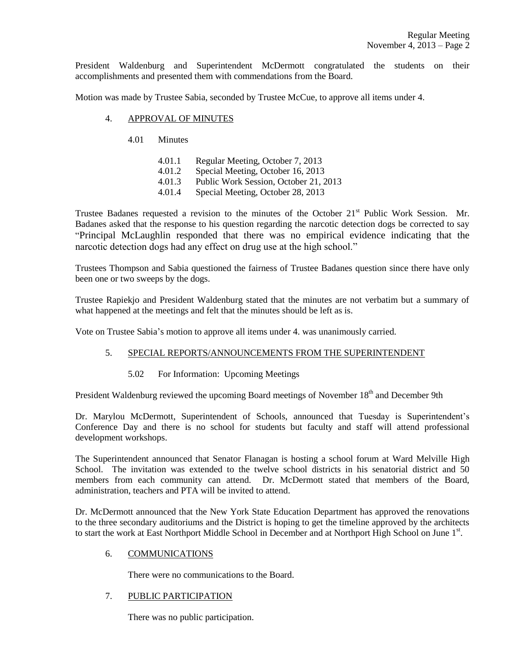President Waldenburg and Superintendent McDermott congratulated the students on their accomplishments and presented them with commendations from the Board.

Motion was made by Trustee Sabia, seconded by Trustee McCue, to approve all items under 4.

### 4. APPROVAL OF MINUTES

- 4.01 Minutes
	- 4.01.1 Regular Meeting, October 7, 2013
	- 4.01.2 Special Meeting, October 16, 2013
	- 4.01.3 Public Work Session, October 21, 2013
	- 4.01.4 Special Meeting, October 28, 2013

Trustee Badanes requested a revision to the minutes of the October  $21<sup>st</sup>$  Public Work Session. Mr. Badanes asked that the response to his question regarding the narcotic detection dogs be corrected to say "Principal McLaughlin responded that there was no empirical evidence indicating that the narcotic detection dogs had any effect on drug use at the high school."

Trustees Thompson and Sabia questioned the fairness of Trustee Badanes question since there have only been one or two sweeps by the dogs.

Trustee Rapiekjo and President Waldenburg stated that the minutes are not verbatim but a summary of what happened at the meetings and felt that the minutes should be left as is.

Vote on Trustee Sabia's motion to approve all items under 4. was unanimously carried.

# 5. SPECIAL REPORTS/ANNOUNCEMENTS FROM THE SUPERINTENDENT

5.02 For Information: Upcoming Meetings

President Waldenburg reviewed the upcoming Board meetings of November 18<sup>th</sup> and December 9th

Dr. Marylou McDermott, Superintendent of Schools, announced that Tuesday is Superintendent's Conference Day and there is no school for students but faculty and staff will attend professional development workshops.

The Superintendent announced that Senator Flanagan is hosting a school forum at Ward Melville High School. The invitation was extended to the twelve school districts in his senatorial district and 50 members from each community can attend. Dr. McDermott stated that members of the Board, administration, teachers and PTA will be invited to attend.

Dr. McDermott announced that the New York State Education Department has approved the renovations to the three secondary auditoriums and the District is hoping to get the timeline approved by the architects to start the work at East Northport Middle School in December and at Northport High School on June 1st.

### 6. COMMUNICATIONS

There were no communications to the Board.

# 7. PUBLIC PARTICIPATION

There was no public participation.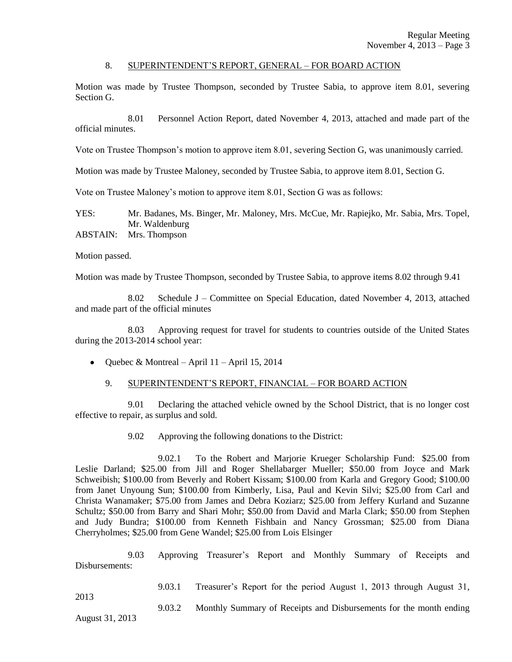### 8. SUPERINTENDENT'S REPORT, GENERAL – FOR BOARD ACTION

Motion was made by Trustee Thompson, seconded by Trustee Sabia, to approve item 8.01, severing Section G.

8.01 Personnel Action Report, dated November 4, 2013, attached and made part of the official minutes.

Vote on Trustee Thompson's motion to approve item 8.01, severing Section G, was unanimously carried.

Motion was made by Trustee Maloney, seconded by Trustee Sabia, to approve item 8.01, Section G.

Vote on Trustee Maloney's motion to approve item 8.01, Section G was as follows:

YES: Mr. Badanes, Ms. Binger, Mr. Maloney, Mrs. McCue, Mr. Rapiejko, Mr. Sabia, Mrs. Topel, Mr. Waldenburg

ABSTAIN: Mrs. Thompson

Motion passed.

Motion was made by Trustee Thompson, seconded by Trustee Sabia, to approve items 8.02 through 9.41

8.02 Schedule J – Committee on Special Education, dated November 4, 2013, attached and made part of the official minutes

8.03 Approving request for travel for students to countries outside of the United States during the 2013-2014 school year:

• Quebec & Montreal – April 11 – April 15, 2014

# 9. SUPERINTENDENT'S REPORT, FINANCIAL – FOR BOARD ACTION

9.01 Declaring the attached vehicle owned by the School District, that is no longer cost effective to repair, as surplus and sold.

9.02 Approving the following donations to the District:

9.02.1 To the Robert and Marjorie Krueger Scholarship Fund: \$25.00 from Leslie Darland; \$25.00 from Jill and Roger Shellabarger Mueller; \$50.00 from Joyce and Mark Schweibish; \$100.00 from Beverly and Robert Kissam; \$100.00 from Karla and Gregory Good; \$100.00 from Janet Unyoung Sun; \$100.00 from Kimberly, Lisa, Paul and Kevin Silvi; \$25.00 from Carl and Christa Wanamaker; \$75.00 from James and Debra Koziarz; \$25.00 from Jeffery Kurland and Suzanne Schultz; \$50.00 from Barry and Shari Mohr; \$50.00 from David and Marla Clark; \$50.00 from Stephen and Judy Bundra; \$100.00 from Kenneth Fishbain and Nancy Grossman; \$25.00 from Diana Cherryholmes; \$25.00 from Gene Wandel; \$25.00 from Lois Elsinger

9.03 Approving Treasurer's Report and Monthly Summary of Receipts and Disbursements:

9.03.1 Treasurer's Report for the period August 1, 2013 through August 31, 2013 9.03.2 Monthly Summary of Receipts and Disbursements for the month ending

August 31, 2013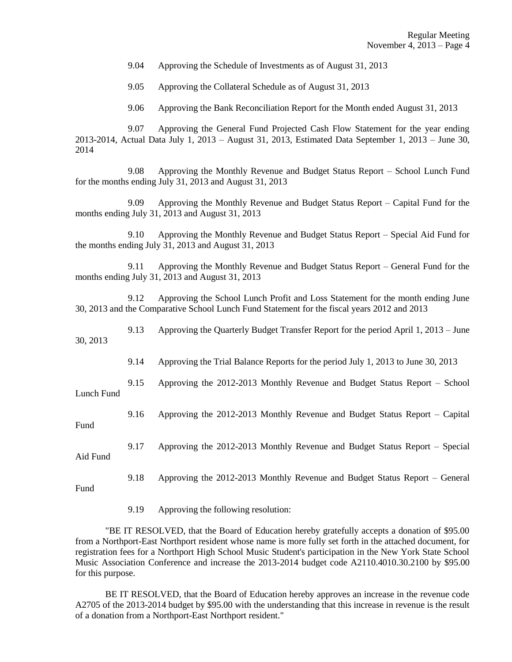9.04 Approving the Schedule of Investments as of August 31, 2013

9.05 Approving the Collateral Schedule as of August 31, 2013

9.06 Approving the Bank Reconciliation Report for the Month ended August 31, 2013

9.07 Approving the General Fund Projected Cash Flow Statement for the year ending 2013-2014, Actual Data July 1, 2013 – August 31, 2013, Estimated Data September 1, 2013 – June 30, 2014

9.08 Approving the Monthly Revenue and Budget Status Report – School Lunch Fund for the months ending July 31, 2013 and August 31, 2013

9.09 Approving the Monthly Revenue and Budget Status Report – Capital Fund for the months ending July 31, 2013 and August 31, 2013

9.10 Approving the Monthly Revenue and Budget Status Report – Special Aid Fund for the months ending July 31, 2013 and August 31, 2013

9.11 Approving the Monthly Revenue and Budget Status Report – General Fund for the months ending July 31, 2013 and August 31, 2013

9.12 Approving the School Lunch Profit and Loss Statement for the month ending June 30, 2013 and the Comparative School Lunch Fund Statement for the fiscal years 2012 and 2013

9.13 Approving the Quarterly Budget Transfer Report for the period April 1, 2013 – June 30, 2013

9.14 Approving the Trial Balance Reports for the period July 1, 2013 to June 30, 2013

9.15 Approving the 2012-2013 Monthly Revenue and Budget Status Report – School Lunch Fund

9.16 Approving the 2012-2013 Monthly Revenue and Budget Status Report – Capital

Fund

Fund

9.17 Approving the 2012-2013 Monthly Revenue and Budget Status Report – Special Aid Fund

9.18 Approving the 2012-2013 Monthly Revenue and Budget Status Report – General

9.19 Approving the following resolution:

"BE IT RESOLVED, that the Board of Education hereby gratefully accepts a donation of \$95.00 from a Northport-East Northport resident whose name is more fully set forth in the attached document, for registration fees for a Northport High School Music Student's participation in the New York State School Music Association Conference and increase the 2013-2014 budget code A2110.4010.30.2100 by \$95.00 for this purpose.

BE IT RESOLVED, that the Board of Education hereby approves an increase in the revenue code A2705 of the 2013-2014 budget by \$95.00 with the understanding that this increase in revenue is the result of a donation from a Northport-East Northport resident."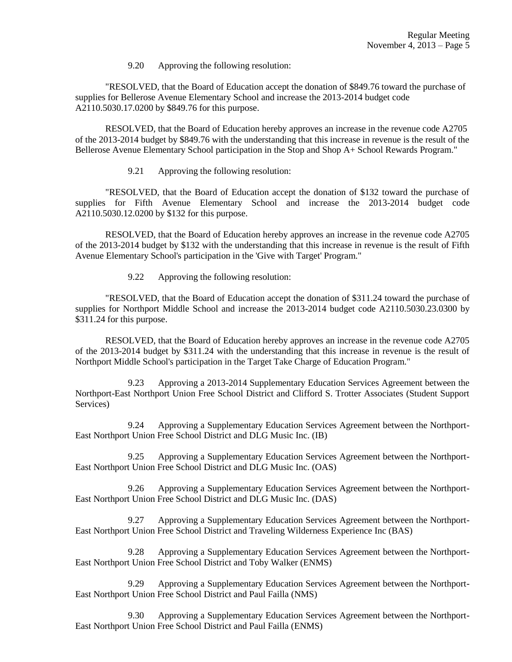9.20 Approving the following resolution:

"RESOLVED, that the Board of Education accept the donation of \$849.76 toward the purchase of supplies for Bellerose Avenue Elementary School and increase the 2013-2014 budget code A2110.5030.17.0200 by \$849.76 for this purpose.

RESOLVED, that the Board of Education hereby approves an increase in the revenue code A2705 of the 2013-2014 budget by \$849.76 with the understanding that this increase in revenue is the result of the Bellerose Avenue Elementary School participation in the Stop and Shop A+ School Rewards Program."

9.21 Approving the following resolution:

"RESOLVED, that the Board of Education accept the donation of \$132 toward the purchase of supplies for Fifth Avenue Elementary School and increase the 2013-2014 budget code A2110.5030.12.0200 by \$132 for this purpose.

RESOLVED, that the Board of Education hereby approves an increase in the revenue code A2705 of the 2013-2014 budget by \$132 with the understanding that this increase in revenue is the result of Fifth Avenue Elementary School's participation in the 'Give with Target' Program."

9.22 Approving the following resolution:

"RESOLVED, that the Board of Education accept the donation of \$311.24 toward the purchase of supplies for Northport Middle School and increase the 2013-2014 budget code A2110.5030.23.0300 by \$311.24 for this purpose.

RESOLVED, that the Board of Education hereby approves an increase in the revenue code A2705 of the 2013-2014 budget by \$311.24 with the understanding that this increase in revenue is the result of Northport Middle School's participation in the Target Take Charge of Education Program."

9.23 Approving a 2013-2014 Supplementary Education Services Agreement between the Northport-East Northport Union Free School District and Clifford S. Trotter Associates (Student Support Services)

9.24 Approving a Supplementary Education Services Agreement between the Northport-East Northport Union Free School District and DLG Music Inc. (IB)

9.25 Approving a Supplementary Education Services Agreement between the Northport-East Northport Union Free School District and DLG Music Inc. (OAS)

9.26 Approving a Supplementary Education Services Agreement between the Northport-East Northport Union Free School District and DLG Music Inc. (DAS)

9.27 Approving a Supplementary Education Services Agreement between the Northport-East Northport Union Free School District and Traveling Wilderness Experience Inc (BAS)

9.28 Approving a Supplementary Education Services Agreement between the Northport-East Northport Union Free School District and Toby Walker (ENMS)

9.29 Approving a Supplementary Education Services Agreement between the Northport-East Northport Union Free School District and Paul Failla (NMS)

9.30 Approving a Supplementary Education Services Agreement between the Northport-East Northport Union Free School District and Paul Failla (ENMS)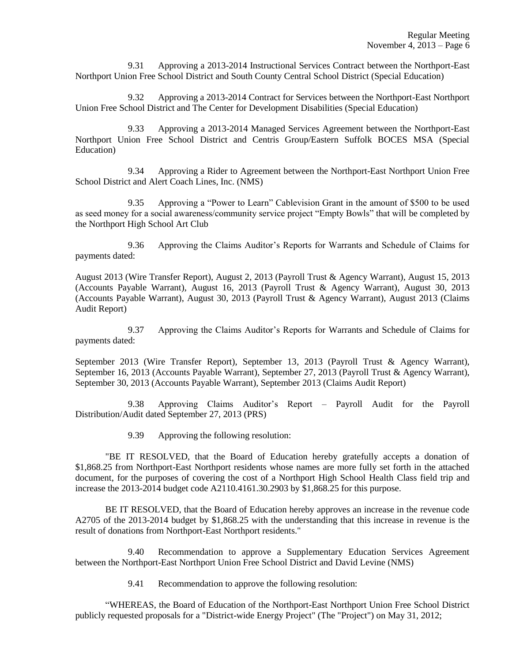9.31 Approving a 2013-2014 Instructional Services Contract between the Northport-East Northport Union Free School District and South County Central School District (Special Education)

9.32 Approving a 2013-2014 Contract for Services between the Northport-East Northport Union Free School District and The Center for Development Disabilities (Special Education)

9.33 Approving a 2013-2014 Managed Services Agreement between the Northport-East Northport Union Free School District and Centris Group/Eastern Suffolk BOCES MSA (Special Education)

9.34 Approving a Rider to Agreement between the Northport-East Northport Union Free School District and Alert Coach Lines, Inc. (NMS)

9.35 Approving a "Power to Learn" Cablevision Grant in the amount of \$500 to be used as seed money for a social awareness/community service project "Empty Bowls" that will be completed by the Northport High School Art Club

9.36 Approving the Claims Auditor's Reports for Warrants and Schedule of Claims for payments dated:

August 2013 (Wire Transfer Report), August 2, 2013 (Payroll Trust & Agency Warrant), August 15, 2013 (Accounts Payable Warrant), August 16, 2013 (Payroll Trust & Agency Warrant), August 30, 2013 (Accounts Payable Warrant), August 30, 2013 (Payroll Trust & Agency Warrant), August 2013 (Claims Audit Report)

9.37 Approving the Claims Auditor's Reports for Warrants and Schedule of Claims for payments dated:

September 2013 (Wire Transfer Report), September 13, 2013 (Payroll Trust & Agency Warrant), September 16, 2013 (Accounts Payable Warrant), September 27, 2013 (Payroll Trust & Agency Warrant), September 30, 2013 (Accounts Payable Warrant), September 2013 (Claims Audit Report)

9.38 Approving Claims Auditor's Report – Payroll Audit for the Payroll Distribution/Audit dated September 27, 2013 (PRS)

9.39 Approving the following resolution:

"BE IT RESOLVED, that the Board of Education hereby gratefully accepts a donation of \$1,868.25 from Northport-East Northport residents whose names are more fully set forth in the attached document, for the purposes of covering the cost of a Northport High School Health Class field trip and increase the 2013-2014 budget code A2110.4161.30.2903 by \$1,868.25 for this purpose.

BE IT RESOLVED, that the Board of Education hereby approves an increase in the revenue code A2705 of the 2013-2014 budget by \$1,868.25 with the understanding that this increase in revenue is the result of donations from Northport-East Northport residents."

9.40 Recommendation to approve a Supplementary Education Services Agreement between the Northport-East Northport Union Free School District and David Levine (NMS)

9.41 Recommendation to approve the following resolution:

"WHEREAS, the Board of Education of the Northport-East Northport Union Free School District publicly requested proposals for a "District-wide Energy Project" (The "Project") on May 31, 2012;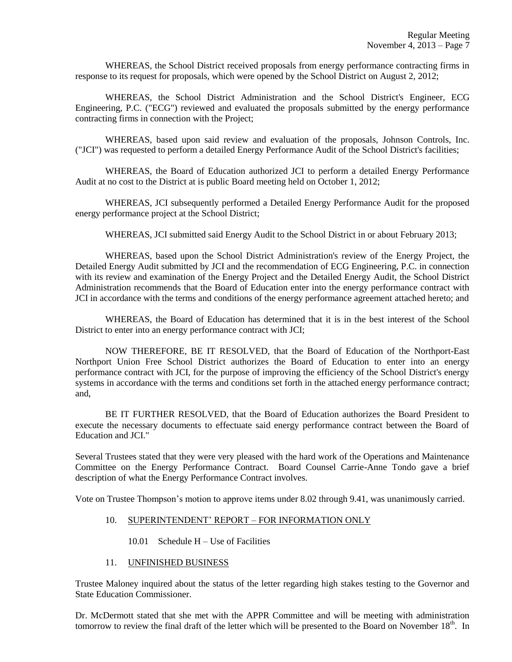WHEREAS, the School District received proposals from energy performance contracting firms in response to its request for proposals, which were opened by the School District on August 2, 2012;

WHEREAS, the School District Administration and the School District's Engineer, ECG Engineering, P.C. ("ECG") reviewed and evaluated the proposals submitted by the energy performance contracting firms in connection with the Project;

WHEREAS, based upon said review and evaluation of the proposals, Johnson Controls, Inc. ("JCI") was requested to perform a detailed Energy Performance Audit of the School District's facilities;

WHEREAS, the Board of Education authorized JCI to perform a detailed Energy Performance Audit at no cost to the District at is public Board meeting held on October 1, 2012;

WHEREAS, JCI subsequently performed a Detailed Energy Performance Audit for the proposed energy performance project at the School District;

WHEREAS, JCI submitted said Energy Audit to the School District in or about February 2013;

WHEREAS, based upon the School District Administration's review of the Energy Project, the Detailed Energy Audit submitted by JCI and the recommendation of ECG Engineering, P.C. in connection with its review and examination of the Energy Project and the Detailed Energy Audit, the School District Administration recommends that the Board of Education enter into the energy performance contract with JCI in accordance with the terms and conditions of the energy performance agreement attached hereto; and

WHEREAS, the Board of Education has determined that it is in the best interest of the School District to enter into an energy performance contract with JCI;

NOW THEREFORE, BE IT RESOLVED, that the Board of Education of the Northport-East Northport Union Free School District authorizes the Board of Education to enter into an energy performance contract with JCI, for the purpose of improving the efficiency of the School District's energy systems in accordance with the terms and conditions set forth in the attached energy performance contract; and,

BE IT FURTHER RESOLVED, that the Board of Education authorizes the Board President to execute the necessary documents to effectuate said energy performance contract between the Board of Education and JCI."

Several Trustees stated that they were very pleased with the hard work of the Operations and Maintenance Committee on the Energy Performance Contract. Board Counsel Carrie-Anne Tondo gave a brief description of what the Energy Performance Contract involves.

Vote on Trustee Thompson's motion to approve items under 8.02 through 9.41, was unanimously carried.

### 10. SUPERINTENDENT' REPORT – FOR INFORMATION ONLY

### 10.01 Schedule H – Use of Facilities

### 11. UNFINISHED BUSINESS

Trustee Maloney inquired about the status of the letter regarding high stakes testing to the Governor and State Education Commissioner.

Dr. McDermott stated that she met with the APPR Committee and will be meeting with administration tomorrow to review the final draft of the letter which will be presented to the Board on November  $18<sup>th</sup>$ . In